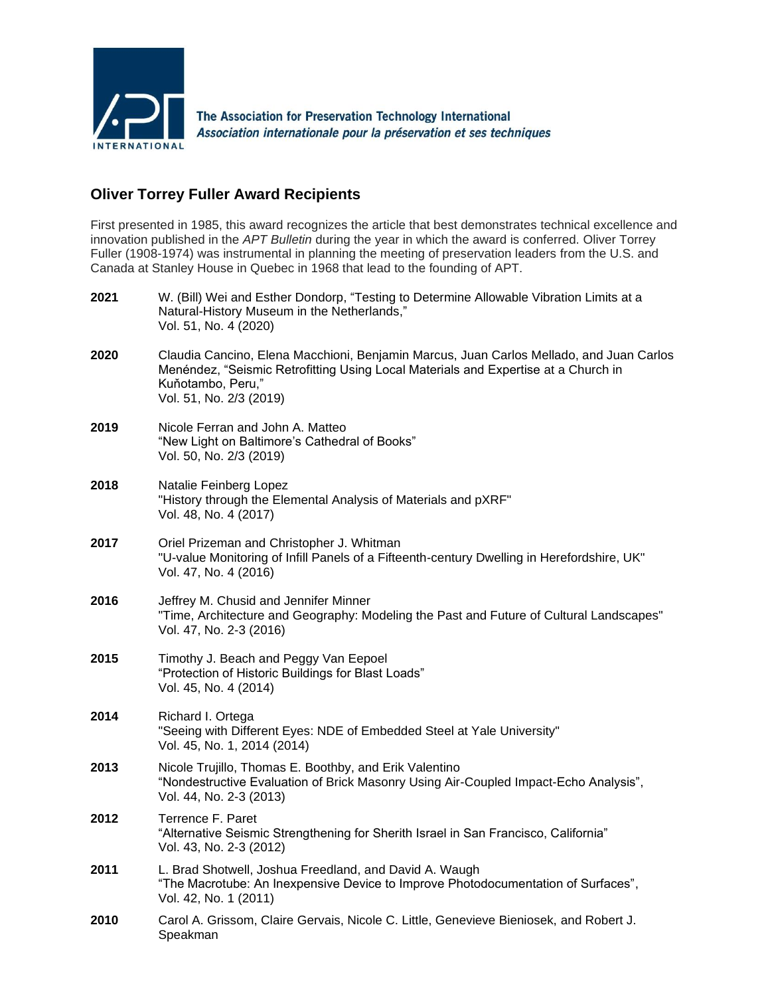

## **Oliver Torrey Fuller Award Recipients**

First presented in 1985, this award recognizes the article that best demonstrates technical excellence and innovation published in the *APT Bulletin* during the year in which the award is conferred. Oliver Torrey Fuller (1908-1974) was instrumental in planning the meeting of preservation leaders from the U.S. and Canada at Stanley House in Quebec in 1968 that lead to the founding of APT.

| 2021 | W. (Bill) Wei and Esther Dondorp, "Testing to Determine Allowable Vibration Limits at a<br>Natural-History Museum in the Netherlands,"<br>Vol. 51, No. 4 (2020)                                                               |
|------|-------------------------------------------------------------------------------------------------------------------------------------------------------------------------------------------------------------------------------|
| 2020 | Claudia Cancino, Elena Macchioni, Benjamin Marcus, Juan Carlos Mellado, and Juan Carlos<br>Menéndez, "Seismic Retrofitting Using Local Materials and Expertise at a Church in<br>Kuňotambo, Peru,"<br>Vol. 51, No. 2/3 (2019) |
| 2019 | Nicole Ferran and John A. Matteo<br>"New Light on Baltimore's Cathedral of Books"<br>Vol. 50, No. 2/3 (2019)                                                                                                                  |
| 2018 | Natalie Feinberg Lopez<br>"History through the Elemental Analysis of Materials and pXRF"<br>Vol. 48, No. 4 (2017)                                                                                                             |
| 2017 | Oriel Prizeman and Christopher J. Whitman<br>"U-value Monitoring of Infill Panels of a Fifteenth-century Dwelling in Herefordshire, UK"<br>Vol. 47, No. 4 (2016)                                                              |
| 2016 | Jeffrey M. Chusid and Jennifer Minner<br>"Time, Architecture and Geography: Modeling the Past and Future of Cultural Landscapes"<br>Vol. 47, No. 2-3 (2016)                                                                   |
| 2015 | Timothy J. Beach and Peggy Van Eepoel<br>"Protection of Historic Buildings for Blast Loads"<br>Vol. 45, No. 4 (2014)                                                                                                          |
| 2014 | Richard I. Ortega<br>"Seeing with Different Eyes: NDE of Embedded Steel at Yale University"<br>Vol. 45, No. 1, 2014 (2014)                                                                                                    |
| 2013 | Nicole Trujillo, Thomas E. Boothby, and Erik Valentino<br>"Nondestructive Evaluation of Brick Masonry Using Air-Coupled Impact-Echo Analysis",<br>Vol. 44, No. 2-3 (2013)                                                     |
| 2012 | Terrence F. Paret<br>"Alternative Seismic Strengthening for Sherith Israel in San Francisco, California"<br>Vol. 43, No. 2-3 (2012)                                                                                           |
| 2011 | L. Brad Shotwell, Joshua Freedland, and David A. Waugh<br>"The Macrotube: An Inexpensive Device to Improve Photodocumentation of Surfaces",<br>Vol. 42, No. 1 (2011)                                                          |
| 2010 | Carol A. Grissom, Claire Gervais, Nicole C. Little, Genevieve Bieniosek, and Robert J.<br>Speakman                                                                                                                            |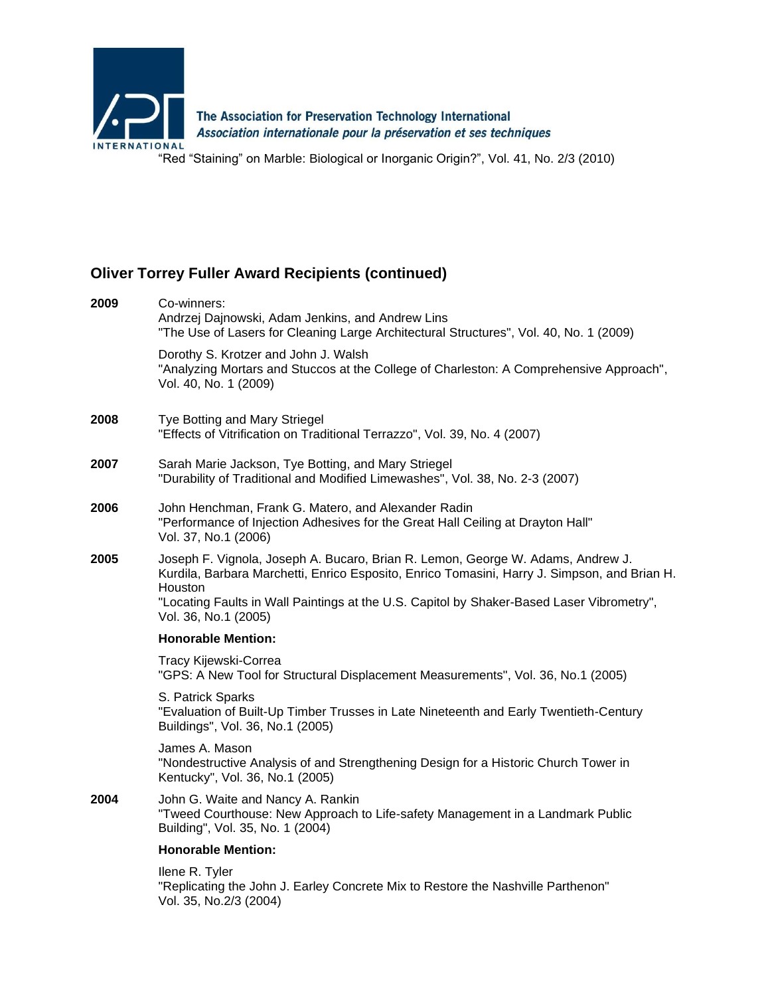

"Red "Staining" on Marble: Biological or Inorganic Origin?", Vol. 41, No. 2/3 (2010)

## **Oliver Torrey Fuller Award Recipients (continued)**

Vol. 35, No.2/3 (2004)

| 2009 | Co-winners:<br>Andrzej Dajnowski, Adam Jenkins, and Andrew Lins<br>"The Use of Lasers for Cleaning Large Architectural Structures", Vol. 40, No. 1 (2009)                                                                                                                                                       |
|------|-----------------------------------------------------------------------------------------------------------------------------------------------------------------------------------------------------------------------------------------------------------------------------------------------------------------|
|      | Dorothy S. Krotzer and John J. Walsh<br>"Analyzing Mortars and Stuccos at the College of Charleston: A Comprehensive Approach",<br>Vol. 40, No. 1 (2009)                                                                                                                                                        |
| 2008 | Tye Botting and Mary Striegel<br>"Effects of Vitrification on Traditional Terrazzo", Vol. 39, No. 4 (2007)                                                                                                                                                                                                      |
| 2007 | Sarah Marie Jackson, Tye Botting, and Mary Striegel<br>"Durability of Traditional and Modified Limewashes", Vol. 38, No. 2-3 (2007)                                                                                                                                                                             |
| 2006 | John Henchman, Frank G. Matero, and Alexander Radin<br>"Performance of Injection Adhesives for the Great Hall Ceiling at Drayton Hall"<br>Vol. 37, No.1 (2006)                                                                                                                                                  |
| 2005 | Joseph F. Vignola, Joseph A. Bucaro, Brian R. Lemon, George W. Adams, Andrew J.<br>Kurdila, Barbara Marchetti, Enrico Esposito, Enrico Tomasini, Harry J. Simpson, and Brian H.<br>Houston<br>"Locating Faults in Wall Paintings at the U.S. Capitol by Shaker-Based Laser Vibrometry",<br>Vol. 36, No.1 (2005) |
|      | <b>Honorable Mention:</b>                                                                                                                                                                                                                                                                                       |
|      | Tracy Kijewski-Correa<br>"GPS: A New Tool for Structural Displacement Measurements", Vol. 36, No.1 (2005)                                                                                                                                                                                                       |
|      | S. Patrick Sparks<br>"Evaluation of Built-Up Timber Trusses in Late Nineteenth and Early Twentieth-Century<br>Buildings", Vol. 36, No.1 (2005)                                                                                                                                                                  |
|      | James A. Mason<br>"Nondestructive Analysis of and Strengthening Design for a Historic Church Tower in<br>Kentucky", Vol. 36, No.1 (2005)                                                                                                                                                                        |
| 2004 | John G. Waite and Nancy A. Rankin<br>"Tweed Courthouse: New Approach to Life-safety Management in a Landmark Public<br>Building", Vol. 35, No. 1 (2004)                                                                                                                                                         |
|      | <b>Honorable Mention:</b>                                                                                                                                                                                                                                                                                       |
|      | Ilene R. Tyler<br>"Replicating the John J. Earley Concrete Mix to Restore the Nashville Parthenon"                                                                                                                                                                                                              |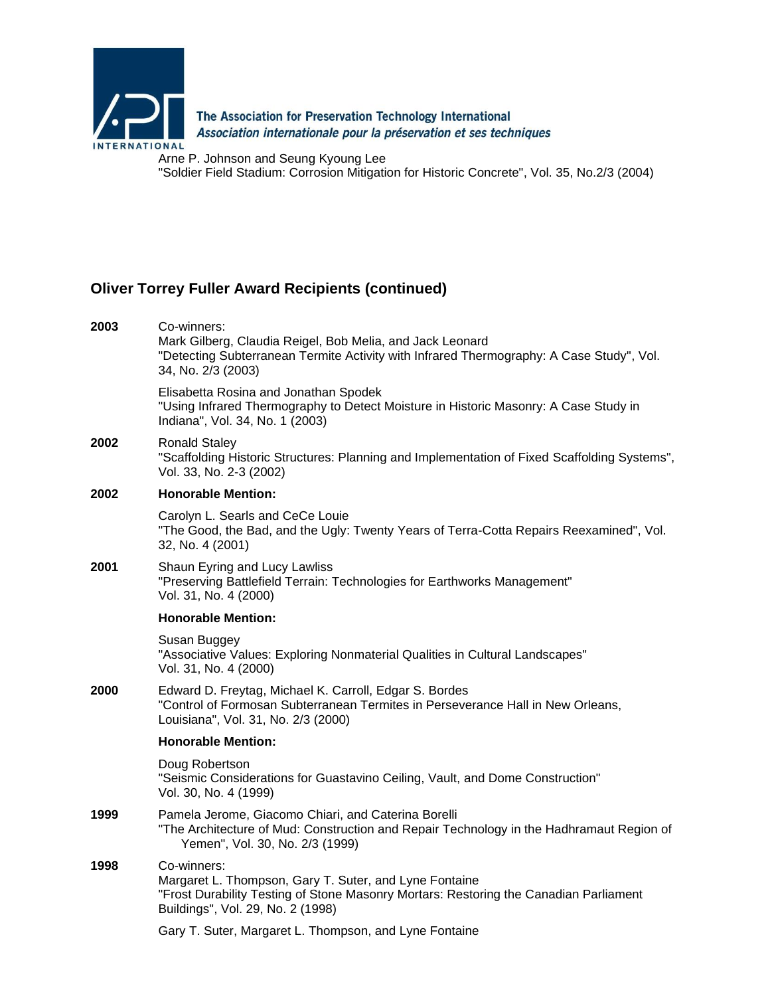

Arne P. Johnson and Seung Kyoung Lee "Soldier Field Stadium: Corrosion Mitigation for Historic Concrete", Vol. 35, No.2/3 (2004)

## **Oliver Torrey Fuller Award Recipients (continued)**

| 2003 | Co-winners:<br>Mark Gilberg, Claudia Reigel, Bob Melia, and Jack Leonard<br>"Detecting Subterranean Termite Activity with Infrared Thermography: A Case Study", Vol.<br>34, No. 2/3 (2003)          |
|------|-----------------------------------------------------------------------------------------------------------------------------------------------------------------------------------------------------|
|      | Elisabetta Rosina and Jonathan Spodek<br>"Using Infrared Thermography to Detect Moisture in Historic Masonry: A Case Study in<br>Indiana", Vol. 34, No. 1 (2003)                                    |
| 2002 | <b>Ronald Staley</b><br>"Scaffolding Historic Structures: Planning and Implementation of Fixed Scaffolding Systems",<br>Vol. 33, No. 2-3 (2002)                                                     |
| 2002 | <b>Honorable Mention:</b>                                                                                                                                                                           |
|      | Carolyn L. Searls and CeCe Louie<br>"The Good, the Bad, and the Ugly: Twenty Years of Terra-Cotta Repairs Reexamined", Vol.<br>32, No. 4 (2001)                                                     |
| 2001 | Shaun Eyring and Lucy Lawliss<br>"Preserving Battlefield Terrain: Technologies for Earthworks Management"<br>Vol. 31, No. 4 (2000)                                                                  |
|      | <b>Honorable Mention:</b>                                                                                                                                                                           |
|      | Susan Buggey<br>"Associative Values: Exploring Nonmaterial Qualities in Cultural Landscapes"<br>Vol. 31, No. 4 (2000)                                                                               |
| 2000 | Edward D. Freytag, Michael K. Carroll, Edgar S. Bordes<br>"Control of Formosan Subterranean Termites in Perseverance Hall in New Orleans,<br>Louisiana", Vol. 31, No. 2/3 (2000)                    |
|      | <b>Honorable Mention:</b>                                                                                                                                                                           |
|      | Doug Robertson<br>"Seismic Considerations for Guastavino Ceiling, Vault, and Dome Construction"<br>Vol. 30, No. 4 (1999)                                                                            |
| 1999 | Pamela Jerome, Giacomo Chiari, and Caterina Borelli<br>"The Architecture of Mud: Construction and Repair Technology in the Hadhramaut Region of<br>Yemen", Vol. 30, No. 2/3 (1999)                  |
| 1998 | Co-winners:<br>Margaret L. Thompson, Gary T. Suter, and Lyne Fontaine<br>"Frost Durability Testing of Stone Masonry Mortars: Restoring the Canadian Parliament<br>Buildings", Vol. 29, No. 2 (1998) |
|      | Gary T. Suter, Margaret L. Thompson, and Lyne Fontaine                                                                                                                                              |